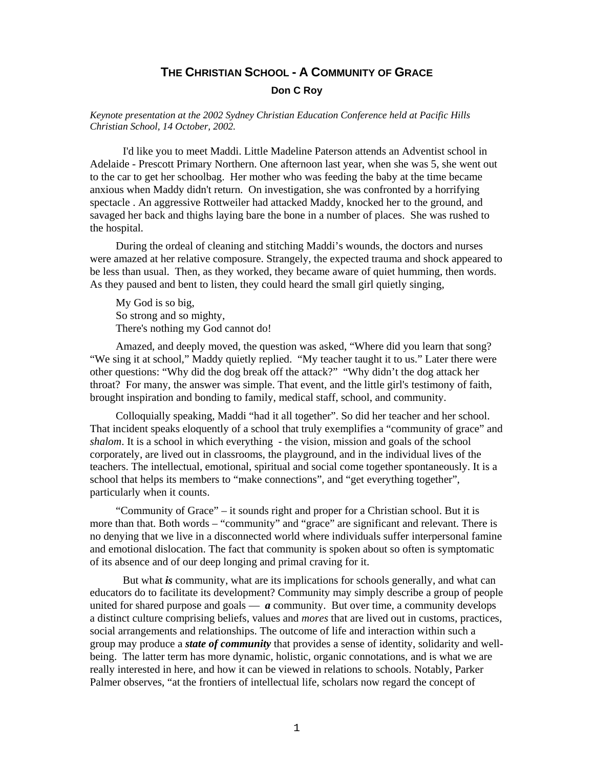# **THE CHRISTIAN SCHOOL - A COMMUNITY OF GRACE**

### **Don C Roy**

### *Keynote presentation at the 2002 Sydney Christian Education Conference held at Pacific Hills Christian School, 14 October, 2002.*

I'd like you to meet Maddi. Little Madeline Paterson attends an Adventist school in Adelaide - Prescott Primary Northern. One afternoon last year, when she was 5, she went out to the car to get her schoolbag. Her mother who was feeding the baby at the time became anxious when Maddy didn't return. On investigation, she was confronted by a horrifying spectacle . An aggressive Rottweiler had attacked Maddy, knocked her to the ground, and savaged her back and thighs laying bare the bone in a number of places. She was rushed to the hospital.

During the ordeal of cleaning and stitching Maddi's wounds, the doctors and nurses were amazed at her relative composure. Strangely, the expected trauma and shock appeared to be less than usual. Then, as they worked, they became aware of quiet humming, then words. As they paused and bent to listen, they could heard the small girl quietly singing,

My God is so big, So strong and so mighty, There's nothing my God cannot do!

Amazed, and deeply moved, the question was asked, "Where did you learn that song? "We sing it at school," Maddy quietly replied. "My teacher taught it to us." Later there were other questions: "Why did the dog break off the attack?" "Why didn't the dog attack her throat? For many, the answer was simple. That event, and the little girl's testimony of faith, brought inspiration and bonding to family, medical staff, school, and community.

Colloquially speaking, Maddi "had it all together". So did her teacher and her school. That incident speaks eloquently of a school that truly exemplifies a "community of grace" and *shalom*. It is a school in which everything - the vision, mission and goals of the school corporately, are lived out in classrooms, the playground, and in the individual lives of the teachers. The intellectual, emotional, spiritual and social come together spontaneously. It is a school that helps its members to "make connections", and "get everything together", particularly when it counts.

"Community of Grace" – it sounds right and proper for a Christian school. But it is more than that. Both words – "community" and "grace" are significant and relevant. There is no denying that we live in a disconnected world where individuals suffer interpersonal famine and emotional dislocation. The fact that community is spoken about so often is symptomatic of its absence and of our deep longing and primal craving for it.

But what *is* community, what are its implications for schools generally, and what can educators do to facilitate its development? Community may simply describe a group of people united for shared purpose and goals  $\frac{a}{x}$  community. But over time, a community develops a distinct culture comprising beliefs, values and *mores* that are lived out in customs, practices, social arrangements and relationships. The outcome of life and interaction within such a group may produce a *state of community* that provides a sense of identity, solidarity and wellbeing. The latter term has more dynamic, holistic, organic connotations, and is what we are really interested in here, and how it can be viewed in relations to schools. Notably, Parker Palmer observes, "at the frontiers of intellectual life, scholars now regard the concept of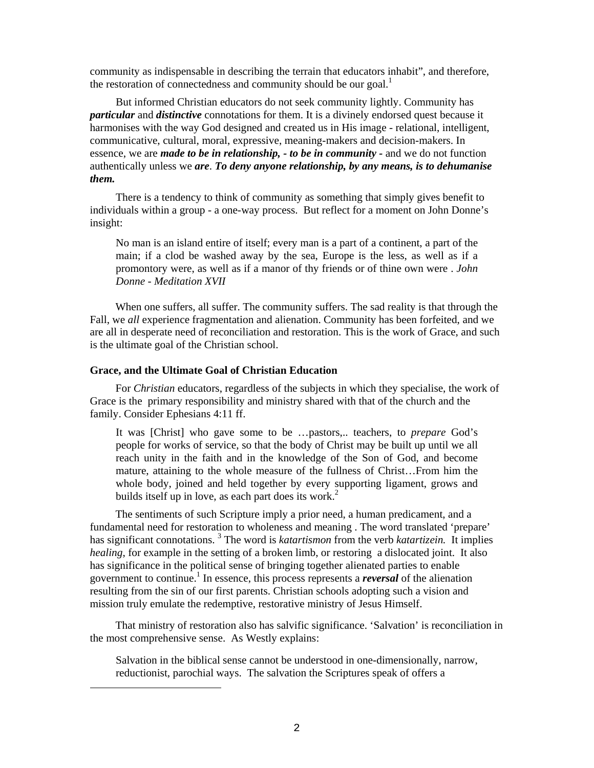community as indispensable in describing the terrain that educators inhabit", and therefore, the restoration of connectedness and community should be our goal. $<sup>1</sup>$ </sup>

But informed Christian educators do not seek community lightly. Community has *particular* and *distinctive* connotations for them. It is a divinely endorsed quest because it harmonises with the way God designed and created us in His image - relational, intelligent, communicative, cultural, moral, expressive, meaning-makers and decision-makers. In essence, we are *made to be in relationship, - to be in community* - and we do not function authentically unless we *are*. *To deny anyone relationship, by any means, is to dehumanise them.*

There is a tendency to think of community as something that simply gives benefit to individuals within a group - a one-way process. But reflect for a moment on John Donne's insight:

No man is an island entire of itself; every man is a part of a continent, a part of the main; if a clod be washed away by the sea, Europe is the less, as well as if a promontory were, as well as if a manor of thy friends or of thine own were . *John Donne - Meditation XVII*

When one suffers, all suffer. The community suffers. The sad reality is that through the Fall, we *all* experience fragmentation and alienation. Community has been forfeited, and we are all in desperate need of reconciliation and restoration. This is the work of Grace, and such is the ultimate goal of the Christian school.

### **Grace, and the Ultimate Goal of Christian Education**

 $\overline{\phantom{a}}$ 

For *Christian* educators, regardless of the subjects in which they specialise, the work of Grace is the primary responsibility and ministry shared with that of the church and the family. Consider Ephesians 4:11 ff.

It was [Christ] who gave some to be …pastors,.. teachers, to *prepare* God's people for works of service, so that the body of Christ may be built up until we all reach unity in the faith and in the knowledge of the Son of God, and become mature, attaining to the whole measure of the fullness of Christ…From him the whole body, joined and held together by every supporting ligament, grows and builds itself up in love, as each part does its work.<sup>2</sup>

The sentiments of such Scripture imply a prior need, a human predicament, and a fundamental need for restoration to wholeness and meaning . The word translated 'prepare' has significant connotations.<sup>3</sup> The word is *katartismon* from the verb *katartizein*. It implies *healing*, for example in the setting of a broken limb, or restoring a dislocated joint. It also has significance in the political sense of bringing together alienated parties to enable government to continue.<sup>1</sup> In essence, this process represents a *reversal* of the alienation resulting from the sin of our first parents. Christian schools adopting such a vision and mission truly emulate the redemptive, restorative ministry of Jesus Himself.

That ministry of restoration also has salvific significance. 'Salvation' is reconciliation in the most comprehensive sense. As Westly explains:

Salvation in the biblical sense cannot be understood in one-dimensionally, narrow, reductionist, parochial ways. The salvation the Scriptures speak of offers a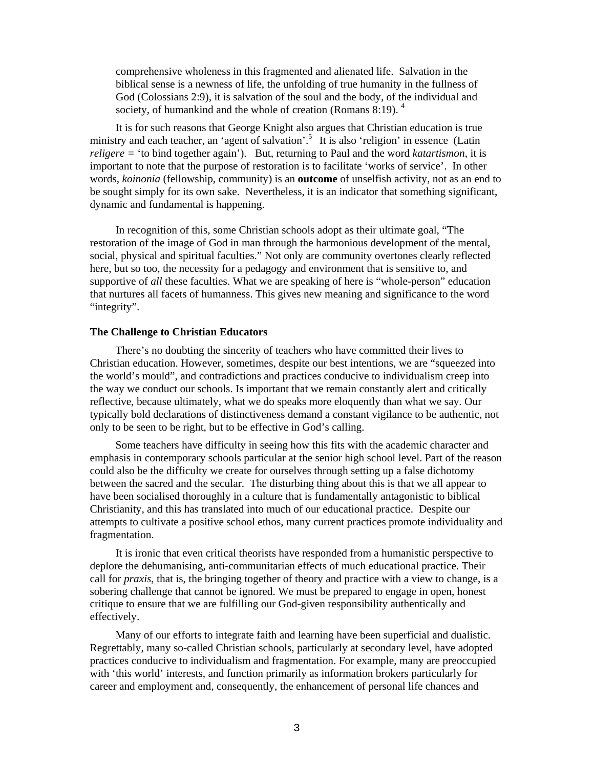comprehensive wholeness in this fragmented and alienated life. Salvation in the biblical sense is a newness of life, the unfolding of true humanity in the fullness of God (Colossians 2:9), it is salvation of the soul and the body, of the individual and society, of humankind and the whole of creation (Romans 8:19).  $4\overline{ }$ 

It is for such reasons that George Knight also argues that Christian education is true ministry and each teacher, an 'agent of salvation'.<sup>5</sup> It is also 'religion' in essence (Latin *religere =* 'to bind together again'). But, returning to Paul and the word *katartismon*, it is important to note that the purpose of restoration is to facilitate 'works of service'. In other words, *koinonia* (fellowship, community) is an **outcome** of unselfish activity, not as an end to be sought simply for its own sake. Nevertheless, it is an indicator that something significant, dynamic and fundamental is happening.

In recognition of this, some Christian schools adopt as their ultimate goal, "The restoration of the image of God in man through the harmonious development of the mental, social, physical and spiritual faculties." Not only are community overtones clearly reflected here, but so too, the necessity for a pedagogy and environment that is sensitive to, and supportive of *all* these faculties. What we are speaking of here is "whole-person" education that nurtures all facets of humanness. This gives new meaning and significance to the word "integrity".

#### **The Challenge to Christian Educators**

There's no doubting the sincerity of teachers who have committed their lives to Christian education. However, sometimes, despite our best intentions, we are "squeezed into the world's mould", and contradictions and practices conducive to individualism creep into the way we conduct our schools. Is important that we remain constantly alert and critically reflective, because ultimately, what we do speaks more eloquently than what we say. Our typically bold declarations of distinctiveness demand a constant vigilance to be authentic, not only to be seen to be right, but to be effective in God's calling.

Some teachers have difficulty in seeing how this fits with the academic character and emphasis in contemporary schools particular at the senior high school level. Part of the reason could also be the difficulty we create for ourselves through setting up a false dichotomy between the sacred and the secular. The disturbing thing about this is that we all appear to have been socialised thoroughly in a culture that is fundamentally antagonistic to biblical Christianity, and this has translated into much of our educational practice. Despite our attempts to cultivate a positive school ethos, many current practices promote individuality and fragmentation.

It is ironic that even critical theorists have responded from a humanistic perspective to deplore the dehumanising, anti-communitarian effects of much educational practice. Their call for *praxis*, that is, the bringing together of theory and practice with a view to change, is a sobering challenge that cannot be ignored. We must be prepared to engage in open, honest critique to ensure that we are fulfilling our God-given responsibility authentically and effectively.

Many of our efforts to integrate faith and learning have been superficial and dualistic. Regrettably, many so-called Christian schools, particularly at secondary level, have adopted practices conducive to individualism and fragmentation. For example, many are preoccupied with 'this world' interests, and function primarily as information brokers particularly for career and employment and, consequently, the enhancement of personal life chances and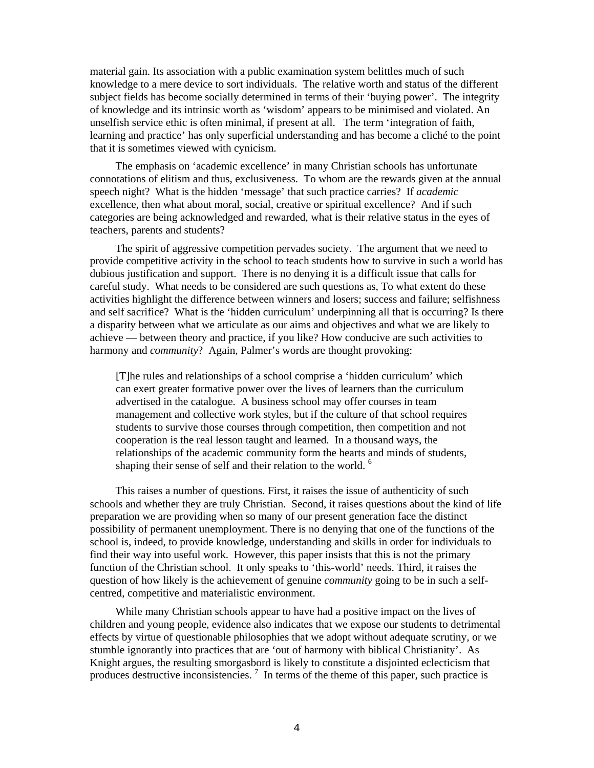material gain. Its association with a public examination system belittles much of such knowledge to a mere device to sort individuals. The relative worth and status of the different subject fields has become socially determined in terms of their 'buying power'. The integrity of knowledge and its intrinsic worth as 'wisdom' appears to be minimised and violated. An unselfish service ethic is often minimal, if present at all. The term 'integration of faith, learning and practice' has only superficial understanding and has become a cliché to the point that it is sometimes viewed with cynicism.

The emphasis on 'academic excellence' in many Christian schools has unfortunate connotations of elitism and thus, exclusiveness. To whom are the rewards given at the annual speech night? What is the hidden 'message' that such practice carries? If *academic* excellence, then what about moral, social, creative or spiritual excellence? And if such categories are being acknowledged and rewarded, what is their relative status in the eyes of teachers, parents and students?

The spirit of aggressive competition pervades society. The argument that we need to provide competitive activity in the school to teach students how to survive in such a world has dubious justification and support. There is no denying it is a difficult issue that calls for careful study. What needs to be considered are such questions as, To what extent do these activities highlight the difference between winners and losers; success and failure; selfishness and self sacrifice? What is the 'hidden curriculum' underpinning all that is occurring? Is there a disparity between what we articulate as our aims and objectives and what we are likely to achieve — between theory and practice, if you like? How conducive are such activities to harmony and *community*? Again, Palmer's words are thought provoking:

[T]he rules and relationships of a school comprise a 'hidden curriculum' which can exert greater formative power over the lives of learners than the curriculum advertised in the catalogue. A business school may offer courses in team management and collective work styles, but if the culture of that school requires students to survive those courses through competition, then competition and not cooperation is the real lesson taught and learned. In a thousand ways, the relationships of the academic community form the hearts and minds of students, shaping their sense of self and their relation to the world. <sup>6</sup>

This raises a number of questions. First, it raises the issue of authenticity of such schools and whether they are truly Christian. Second, it raises questions about the kind of life preparation we are providing when so many of our present generation face the distinct possibility of permanent unemployment. There is no denying that one of the functions of the school is, indeed, to provide knowledge, understanding and skills in order for individuals to find their way into useful work. However, this paper insists that this is not the primary function of the Christian school. It only speaks to 'this-world' needs. Third, it raises the question of how likely is the achievement of genuine *community* going to be in such a selfcentred, competitive and materialistic environment.

While many Christian schools appear to have had a positive impact on the lives of children and young people, evidence also indicates that we expose our students to detrimental effects by virtue of questionable philosophies that we adopt without adequate scrutiny, or we stumble ignorantly into practices that are 'out of harmony with biblical Christianity'. As Knight argues, the resulting smorgasbord is likely to constitute a disjointed eclecticism that produces destructive inconsistencies.<sup>7</sup> In terms of the theme of this paper, such practice is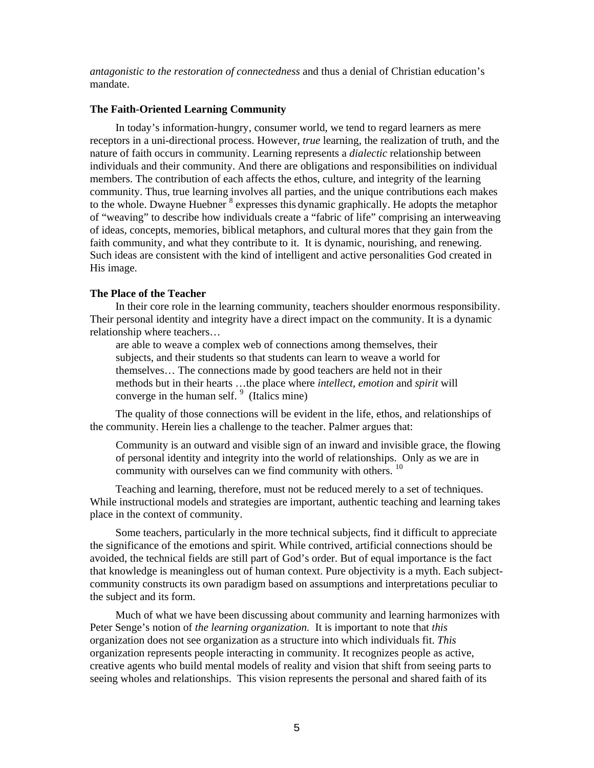*antagonistic to the restoration of connectedness* and thus a denial of Christian education's mandate.

### **The Faith-Oriented Learning Community**

In today's information-hungry, consumer world, we tend to regard learners as mere receptors in a uni-directional process. However, *true* learning, the realization of truth, and the nature of faith occurs in community. Learning represents a *dialectic* relationship between individuals and their community. And there are obligations and responsibilities on individual members. The contribution of each affects the ethos, culture, and integrity of the learning community. Thus, true learning involves all parties, and the unique contributions each makes to the whole. Dwayne Huebner  $\frac{8}{3}$  expresses this dynamic graphically. He adopts the metaphor of "weaving" to describe how individuals create a "fabric of life" comprising an interweaving of ideas, concepts, memories, biblical metaphors, and cultural mores that they gain from the faith community, and what they contribute to it. It is dynamic, nourishing, and renewing. Such ideas are consistent with the kind of intelligent and active personalities God created in His image.

### **The Place of the Teacher**

In their core role in the learning community, teachers shoulder enormous responsibility. Their personal identity and integrity have a direct impact on the community. It is a dynamic relationship where teachers…

are able to weave a complex web of connections among themselves, their subjects, and their students so that students can learn to weave a world for themselves… The connections made by good teachers are held not in their methods but in their hearts …the place where *intellect*, *emotion* and *spirit* will converge in the human self.  $9$  (Italics mine)

The quality of those connections will be evident in the life, ethos, and relationships of the community. Herein lies a challenge to the teacher. Palmer argues that:

Community is an outward and visible sign of an inward and invisible grace, the flowing of personal identity and integrity into the world of relationships. Only as we are in community with ourselves can we find community with others.<sup>10</sup>

Teaching and learning, therefore, must not be reduced merely to a set of techniques. While instructional models and strategies are important, authentic teaching and learning takes place in the context of community.

Some teachers, particularly in the more technical subjects, find it difficult to appreciate the significance of the emotions and spirit. While contrived, artificial connections should be avoided, the technical fields are still part of God's order. But of equal importance is the fact that knowledge is meaningless out of human context. Pure objectivity is a myth. Each subjectcommunity constructs its own paradigm based on assumptions and interpretations peculiar to the subject and its form.

Much of what we have been discussing about community and learning harmonizes with Peter Senge's notion of *the learning organization.* It is important to note that *this* organization does not see organization as a structure into which individuals fit. *This*  organization represents people interacting in community. It recognizes people as active, creative agents who build mental models of reality and vision that shift from seeing parts to seeing wholes and relationships. This vision represents the personal and shared faith of its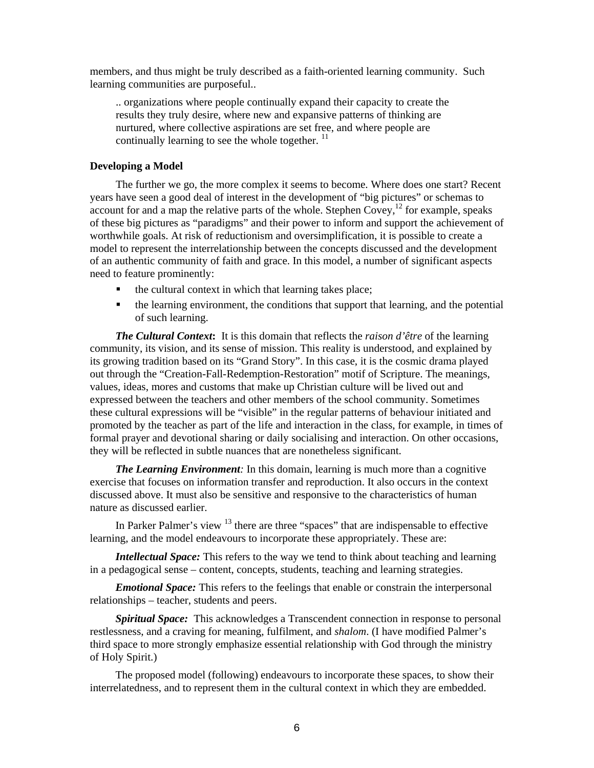members, and thus might be truly described as a faith-oriented learning community. Such learning communities are purposeful..

.. organizations where people continually expand their capacity to create the results they truly desire, where new and expansive patterns of thinking are nurtured, where collective aspirations are set free, and where people are continually learning to see the whole together.  $^{11}$ 

#### **Developing a Model**

The further we go, the more complex it seems to become. Where does one start? Recent years have seen a good deal of interest in the development of "big pictures" or schemas to account for and a map the relative parts of the whole. Stephen Covey,  $^{12}$  for example, speaks of these big pictures as "paradigms" and their power to inform and support the achievement of worthwhile goals. At risk of reductionism and oversimplification, it is possible to create a model to represent the interrelationship between the concepts discussed and the development of an authentic community of faith and grace. In this model, a number of significant aspects need to feature prominently:

- the cultural context in which that learning takes place;
- the learning environment, the conditions that support that learning, and the potential of such learning.

*The Cultural Context***:** It is this domain that reflects the *raison d'être* of the learning community, its vision, and its sense of mission. This reality is understood, and explained by its growing tradition based on its "Grand Story". In this case, it is the cosmic drama played out through the "Creation-Fall-Redemption-Restoration" motif of Scripture. The meanings, values, ideas, mores and customs that make up Christian culture will be lived out and expressed between the teachers and other members of the school community. Sometimes these cultural expressions will be "visible" in the regular patterns of behaviour initiated and promoted by the teacher as part of the life and interaction in the class, for example, in times of formal prayer and devotional sharing or daily socialising and interaction. On other occasions, they will be reflected in subtle nuances that are nonetheless significant.

*The Learning Environment:* In this domain, learning is much more than a cognitive exercise that focuses on information transfer and reproduction. It also occurs in the context discussed above. It must also be sensitive and responsive to the characteristics of human nature as discussed earlier.

In Parker Palmer's view  $13$  there are three "spaces" that are indispensable to effective learning, and the model endeavours to incorporate these appropriately. These are:

*Intellectual Space:* This refers to the way we tend to think about teaching and learning in a pedagogical sense – content, concepts, students, teaching and learning strategies.

*Emotional Space:* This refers to the feelings that enable or constrain the interpersonal relationships – teacher, students and peers.

*Spiritual Space:* This acknowledges a Transcendent connection in response to personal restlessness, and a craving for meaning, fulfilment, and *shalom*. (I have modified Palmer's third space to more strongly emphasize essential relationship with God through the ministry of Holy Spirit.)

The proposed model (following) endeavours to incorporate these spaces, to show their interrelatedness, and to represent them in the cultural context in which they are embedded.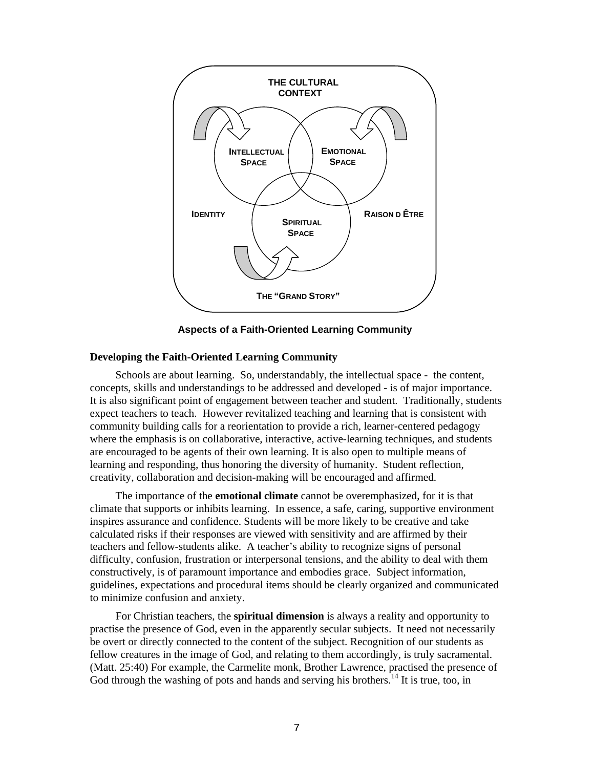

**Aspects of a Faith-Oriented Learning Community** 

### **Developing the Faith-Oriented Learning Community**

Schools are about learning. So, understandably, the intellectual space - the content, concepts, skills and understandings to be addressed and developed - is of major importance. It is also significant point of engagement between teacher and student. Traditionally, students expect teachers to teach. However revitalized teaching and learning that is consistent with community building calls for a reorientation to provide a rich, learner-centered pedagogy where the emphasis is on collaborative, interactive, active-learning techniques, and students are encouraged to be agents of their own learning. It is also open to multiple means of learning and responding, thus honoring the diversity of humanity. Student reflection, creativity, collaboration and decision-making will be encouraged and affirmed.

The importance of the **emotional climate** cannot be overemphasized, for it is that climate that supports or inhibits learning. In essence, a safe, caring, supportive environment inspires assurance and confidence. Students will be more likely to be creative and take calculated risks if their responses are viewed with sensitivity and are affirmed by their teachers and fellow-students alike. A teacher's ability to recognize signs of personal difficulty, confusion, frustration or interpersonal tensions, and the ability to deal with them constructively, is of paramount importance and embodies grace. Subject information, guidelines, expectations and procedural items should be clearly organized and communicated to minimize confusion and anxiety.

For Christian teachers, the **spiritual dimension** is always a reality and opportunity to practise the presence of God, even in the apparently secular subjects. It need not necessarily be overt or directly connected to the content of the subject. Recognition of our students as fellow creatures in the image of God, and relating to them accordingly, is truly sacramental. (Matt. 25:40) For example, the Carmelite monk, Brother Lawrence, practised the presence of God through the washing of pots and hands and serving his brothers.<sup>14</sup> It is true, too, in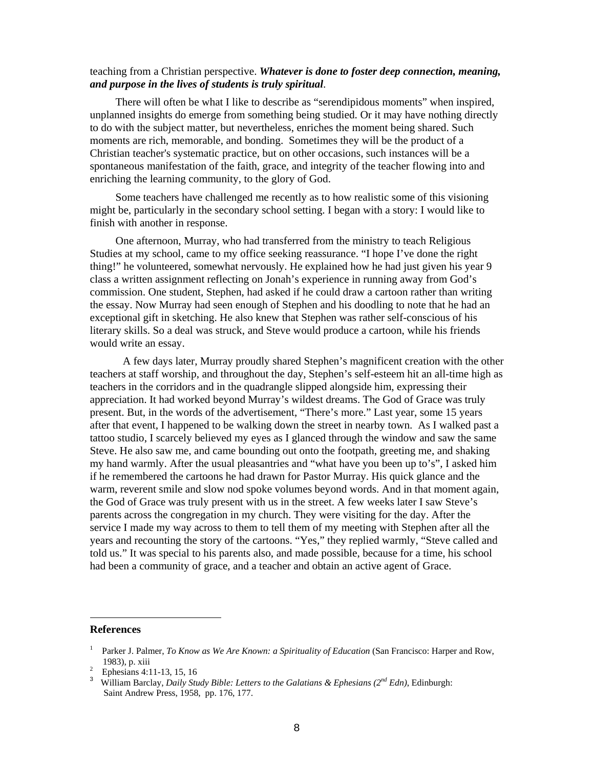## teaching from a Christian perspective. *Whatever is done to foster deep connection, meaning, and purpose in the lives of students is truly spiritual*.

There will often be what I like to describe as "serendipidous moments" when inspired, unplanned insights do emerge from something being studied. Or it may have nothing directly to do with the subject matter, but nevertheless, enriches the moment being shared. Such moments are rich, memorable, and bonding. Sometimes they will be the product of a Christian teacher's systematic practice, but on other occasions, such instances will be a spontaneous manifestation of the faith, grace, and integrity of the teacher flowing into and enriching the learning community, to the glory of God.

Some teachers have challenged me recently as to how realistic some of this visioning might be, particularly in the secondary school setting. I began with a story: I would like to finish with another in response.

One afternoon, Murray, who had transferred from the ministry to teach Religious Studies at my school, came to my office seeking reassurance. "I hope I've done the right thing!" he volunteered, somewhat nervously. He explained how he had just given his year 9 class a written assignment reflecting on Jonah's experience in running away from God's commission. One student, Stephen, had asked if he could draw a cartoon rather than writing the essay. Now Murray had seen enough of Stephen and his doodling to note that he had an exceptional gift in sketching. He also knew that Stephen was rather self-conscious of his literary skills. So a deal was struck, and Steve would produce a cartoon, while his friends would write an essay.

 A few days later, Murray proudly shared Stephen's magnificent creation with the other teachers at staff worship, and throughout the day, Stephen's self-esteem hit an all-time high as teachers in the corridors and in the quadrangle slipped alongside him, expressing their appreciation. It had worked beyond Murray's wildest dreams. The God of Grace was truly present. But, in the words of the advertisement, "There's more." Last year, some 15 years after that event, I happened to be walking down the street in nearby town. As I walked past a tattoo studio, I scarcely believed my eyes as I glanced through the window and saw the same Steve. He also saw me, and came bounding out onto the footpath, greeting me, and shaking my hand warmly. After the usual pleasantries and "what have you been up to's", I asked him if he remembered the cartoons he had drawn for Pastor Murray. His quick glance and the warm, reverent smile and slow nod spoke volumes beyond words. And in that moment again, the God of Grace was truly present with us in the street. A few weeks later I saw Steve's parents across the congregation in my church. They were visiting for the day. After the service I made my way across to them to tell them of my meeting with Stephen after all the years and recounting the story of the cartoons. "Yes," they replied warmly, "Steve called and told us." It was special to his parents also, and made possible, because for a time, his school had been a community of grace, and a teacher and obtain an active agent of Grace.

### **References**

 $\overline{\phantom{a}}$ 

<sup>1</sup> Parker J. Palmer, *To Know as We Are Known: a Spirituality of Education* (San Francisco: Harper and Row, 1983), p. xiii 2

Ephesians 4:11-13, 15, 16

<sup>3</sup> William Barclay, *Daily Study Bible: Letters to the Galatians & Ephesians (2nd Edn)*, Edinburgh: Saint Andrew Press, 1958, pp. 176, 177.